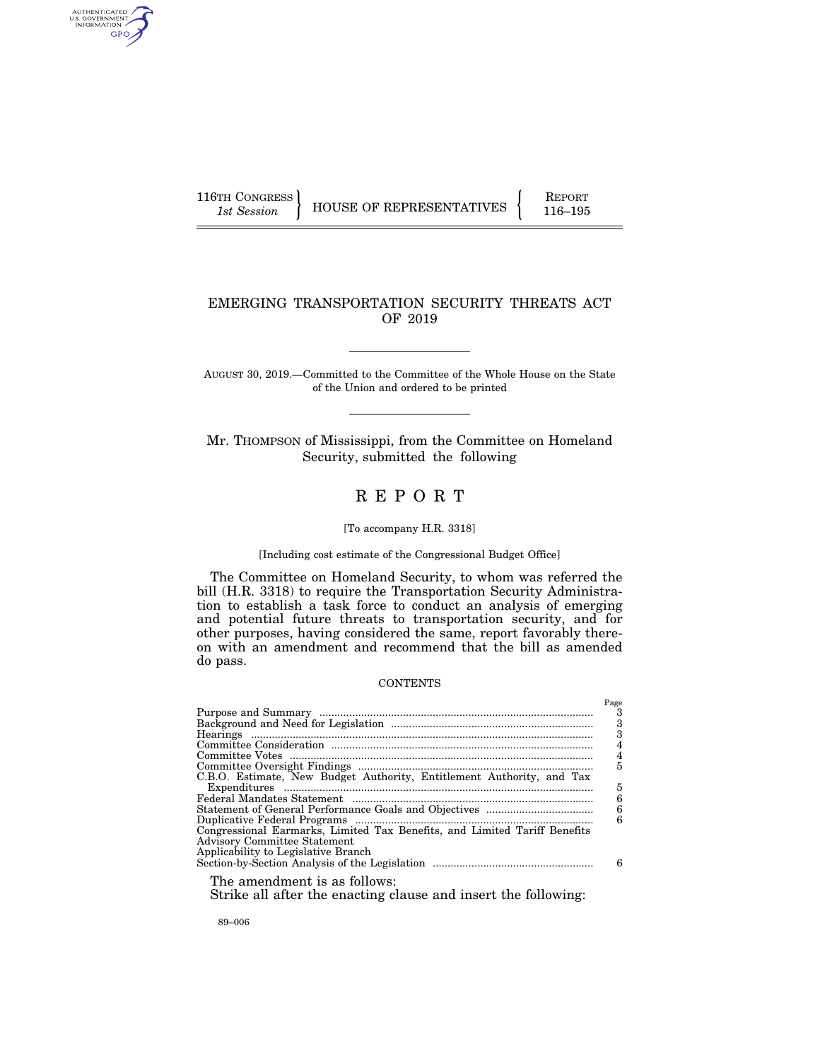AUTHENTICATED<br>U.S. GOVERNMENT<br>INFORMATION GPO

116TH CONGRESS HOUSE OF REPRESENTATIVES FEPORT 116–195

# EMERGING TRANSPORTATION SECURITY THREATS ACT OF 2019

AUGUST 30, 2019.—Committed to the Committee of the Whole House on the State of the Union and ordered to be printed

Mr. THOMPSON of Mississippi, from the Committee on Homeland Security, submitted the following

# R E P O R T

## [To accompany H.R. 3318]

### [Including cost estimate of the Congressional Budget Office]

The Committee on Homeland Security, to whom was referred the bill (H.R. 3318) to require the Transportation Security Administration to establish a task force to conduct an analysis of emerging and potential future threats to transportation security, and for other purposes, having considered the same, report favorably thereon with an amendment and recommend that the bill as amended do pass.

### **CONTENTS**

|                                                                           | Page<br>-3<br>3<br>3<br>4 |
|---------------------------------------------------------------------------|---------------------------|
|                                                                           | $\overline{4}$            |
|                                                                           | 5                         |
| C.B.O. Estimate, New Budget Authority, Entitlement Authority, and Tax     |                           |
|                                                                           | 5                         |
|                                                                           | 6                         |
|                                                                           | 6                         |
|                                                                           | 6                         |
| Congressional Earmarks, Limited Tax Benefits, and Limited Tariff Benefits |                           |
| <b>Advisory Committee Statement</b>                                       |                           |
| Applicability to Legislative Branch                                       |                           |
|                                                                           | 6                         |
| The amendment is as follows:                                              |                           |

Strike all after the enacting clause and insert the following:

89–006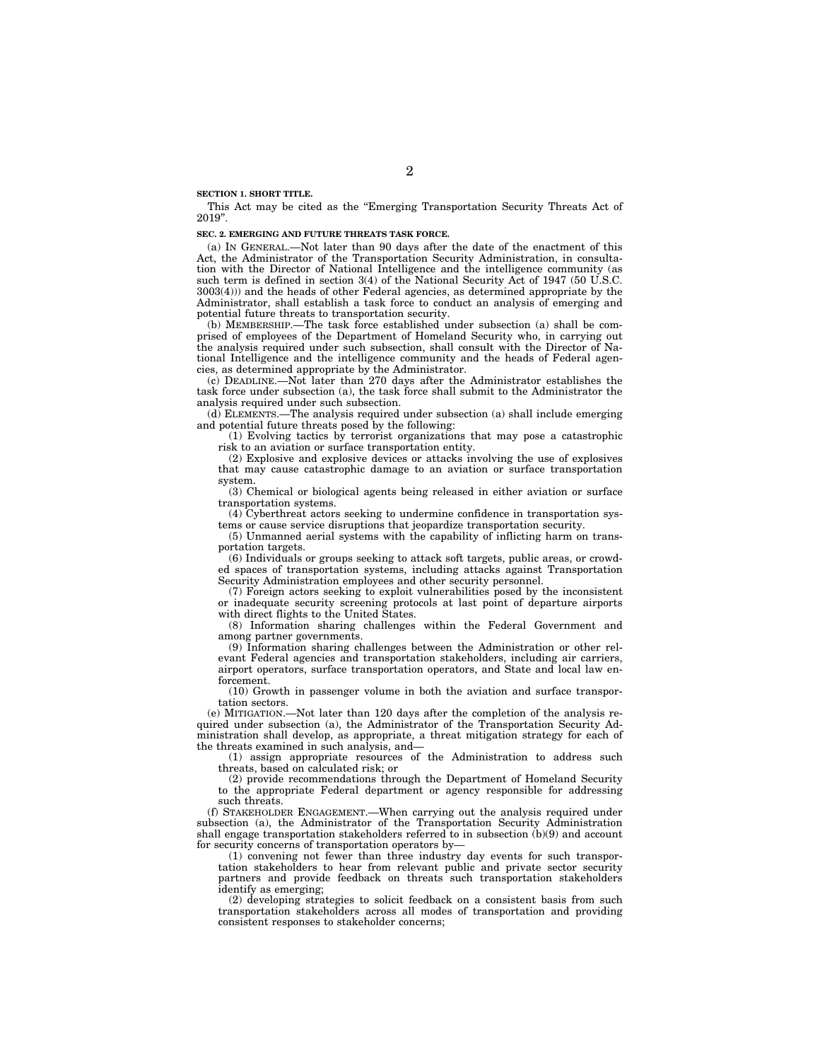**SECTION 1. SHORT TITLE.** 

This Act may be cited as the "Emerging Transportation Security Threats Act of 2019''.

### **SEC. 2. EMERGING AND FUTURE THREATS TASK FORCE.**

(a) IN GENERAL.—Not later than 90 days after the date of the enactment of this Act, the Administrator of the Transportation Security Administration, in consultation with the Director of National Intelligence and the intelligence community (as such term is defined in section 3(4) of the National Security Act of 1947 (50 U.S.C. 3003(4))) and the heads of other Federal agencies, as determined appropriate by the Administrator, shall establish a task force to conduct an analysis of emerging and potential future threats to transportation security.

(b) MEMBERSHIP.—The task force established under subsection (a) shall be comprised of employees of the Department of Homeland Security who, in carrying out the analysis required under such subsection, shall consult with the Director of National Intelligence and the intelligence community and the heads of Federal agencies, as determined appropriate by the Administrator.

(c) DEADLINE.—Not later than 270 days after the Administrator establishes the task force under subsection (a), the task force shall submit to the Administrator the analysis required under such subsection.

(d) ELEMENTS.—The analysis required under subsection (a) shall include emerging and potential future threats posed by the following:

(1) Evolving tactics by terrorist organizations that may pose a catastrophic risk to an aviation or surface transportation entity.

(2) Explosive and explosive devices or attacks involving the use of explosives that may cause catastrophic damage to an aviation or surface transportation system.

(3) Chemical or biological agents being released in either aviation or surface transportation systems.

(4) Cyberthreat actors seeking to undermine confidence in transportation systems or cause service disruptions that jeopardize transportation security.

(5) Unmanned aerial systems with the capability of inflicting harm on transportation targets.

(6) Individuals or groups seeking to attack soft targets, public areas, or crowded spaces of transportation systems, including attacks against Transportation Security Administration employees and other security personnel.

(7) Foreign actors seeking to exploit vulnerabilities posed by the inconsistent or inadequate security screening protocols at last point of departure airports with direct flights to the United States.

(8) Information sharing challenges within the Federal Government and among partner governments.

(9) Information sharing challenges between the Administration or other relevant Federal agencies and transportation stakeholders, including air carriers, airport operators, surface transportation operators, and State and local law enforcement.

(10) Growth in passenger volume in both the aviation and surface transportation sectors.

(e) MITIGATION.—Not later than 120 days after the completion of the analysis required under subsection (a), the Administrator of the Transportation Security Administration shall develop, as appropriate, a threat mitigation strategy for each of the threats examined in such analysis, and—

(1) assign appropriate resources of the Administration to address such threats, based on calculated risk; or

(2) provide recommendations through the Department of Homeland Security to the appropriate Federal department or agency responsible for addressing such threats.

(f) STAKEHOLDER ENGAGEMENT.—When carrying out the analysis required under subsection (a), the Administrator of the Transportation Security Administration shall engage transportation stakeholders referred to in subsection (b)(9) and account for security concerns of transportation operators by—

(1) convening not fewer than three industry day events for such transportation stakeholders to hear from relevant public and private sector security partners and provide feedback on threats such transportation stakeholders identify as emerging;

(2) developing strategies to solicit feedback on a consistent basis from such transportation stakeholders across all modes of transportation and providing consistent responses to stakeholder concerns;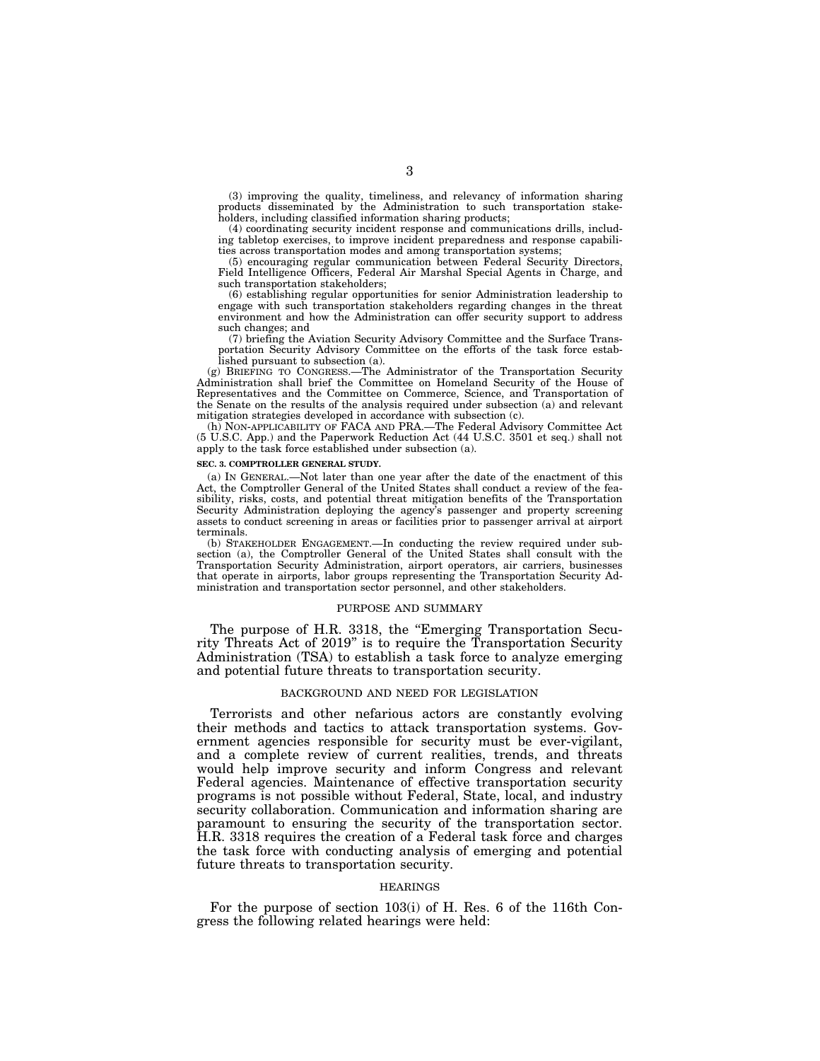(3) improving the quality, timeliness, and relevancy of information sharing products disseminated by the Administration to such transportation stakeholders, including classified information sharing products;

(4) coordinating security incident response and communications drills, including tabletop exercises, to improve incident preparedness and response capabilities across transportation modes and among transportation systems;

(5) encouraging regular communication between Federal Security Directors, Field Intelligence Officers, Federal Air Marshal Special Agents in Charge, and such transportation stakeholders;

(6) establishing regular opportunities for senior Administration leadership to engage with such transportation stakeholders regarding changes in the threat environment and how the Administration can offer security support to address such changes; and

(7) briefing the Aviation Security Advisory Committee and the Surface Transportation Security Advisory Committee on the efforts of the task force established pursuant to subsection (a).

(g) BRIEFING TO CONGRESS.—The Administrator of the Transportation Security Administration shall brief the Committee on Homeland Security of the House of Representatives and the Committee on Commerce, Science, and Transportation of the Senate on the results of the analysis required under subsection (a) and relevant mitigation strategies developed in accordance with subsection (c).

(h) NON-APPLICABILITY OF FACA AND PRA.—The Federal Advisory Committee Act (5 U.S.C. App.) and the Paperwork Reduction Act (44 U.S.C. 3501 et seq.) shall not apply to the task force established under subsection (a).

#### **SEC. 3. COMPTROLLER GENERAL STUDY.**

(a) IN GENERAL.—Not later than one year after the date of the enactment of this Act, the Comptroller General of the United States shall conduct a review of the feasibility, risks, costs, and potential threat mitigation benefits of the Transportation Security Administration deploying the agency's passenger and property screening assets to conduct screening in areas or facilities prior to passenger arrival at airport terminals.

(b) STAKEHOLDER ENGAGEMENT.—In conducting the review required under subsection (a), the Comptroller General of the United States shall consult with the Transportation Security Administration, airport operators, air carriers, businesses that operate in airports, labor groups representing the Transportation Security Administration and transportation sector personnel, and other stakeholders.

#### PURPOSE AND SUMMARY

The purpose of H.R. 3318, the "Emerging Transportation Security Threats Act of 2019'' is to require the Transportation Security Administration (TSA) to establish a task force to analyze emerging and potential future threats to transportation security.

### BACKGROUND AND NEED FOR LEGISLATION

Terrorists and other nefarious actors are constantly evolving their methods and tactics to attack transportation systems. Government agencies responsible for security must be ever-vigilant, and a complete review of current realities, trends, and threats would help improve security and inform Congress and relevant Federal agencies. Maintenance of effective transportation security programs is not possible without Federal, State, local, and industry security collaboration. Communication and information sharing are paramount to ensuring the security of the transportation sector. H.R. 3318 requires the creation of a Federal task force and charges the task force with conducting analysis of emerging and potential future threats to transportation security.

#### HEARINGS

For the purpose of section 103(i) of H. Res. 6 of the 116th Congress the following related hearings were held: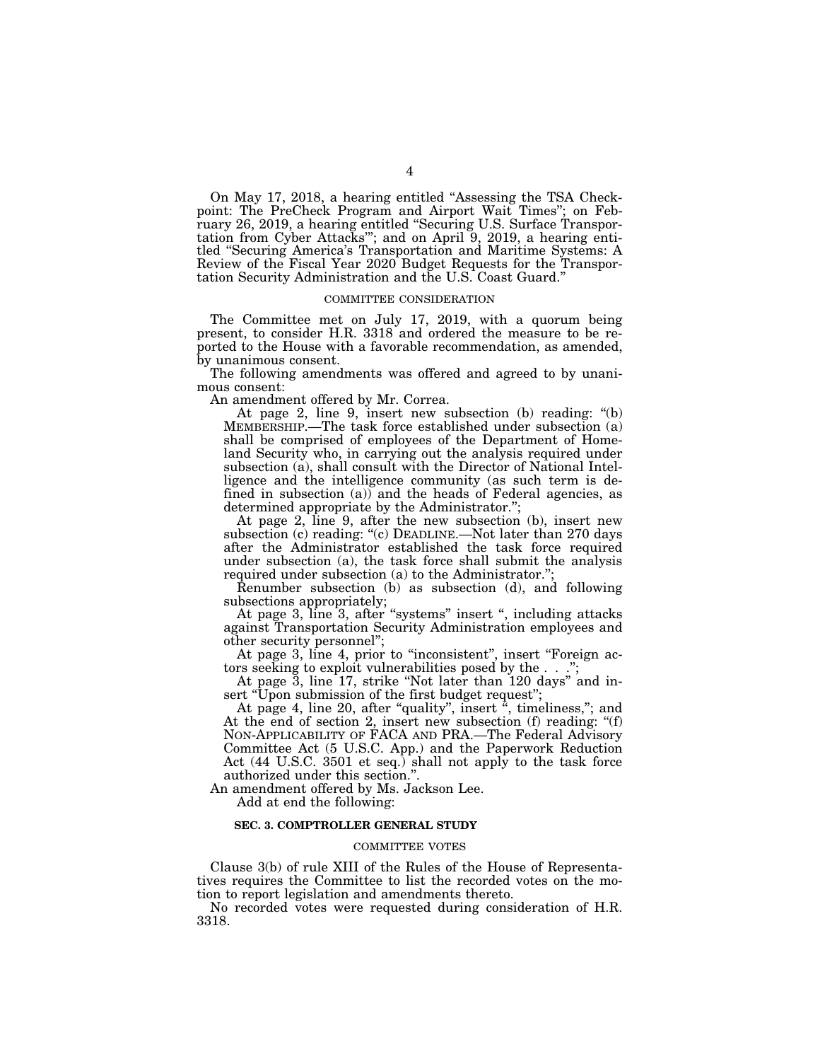On May 17, 2018, a hearing entitled ''Assessing the TSA Checkpoint: The PreCheck Program and Airport Wait Times''; on February 26, 2019, a hearing entitled ''Securing U.S. Surface Transportation from Cyber Attacks'''; and on April 9, 2019, a hearing entitled ''Securing America's Transportation and Maritime Systems: A Review of the Fiscal Year 2020 Budget Requests for the Transportation Security Administration and the U.S. Coast Guard.''

#### COMMITTEE CONSIDERATION

The Committee met on July 17, 2019, with a quorum being present, to consider H.R. 3318 and ordered the measure to be reported to the House with a favorable recommendation, as amended, by unanimous consent.

The following amendments was offered and agreed to by unanimous consent:

An amendment offered by Mr. Correa.

At page 2, line 9, insert new subsection (b) reading: "(b) MEMBERSHIP.—The task force established under subsection (a) shall be comprised of employees of the Department of Homeland Security who, in carrying out the analysis required under subsection (a), shall consult with the Director of National Intelligence and the intelligence community (as such term is defined in subsection  $(a)$ ) and the heads of Federal agencies, as determined appropriate by the Administrator."

At page 2, line 9, after the new subsection (b), insert new subsection (c) reading: "(c) DEADLINE.—Not later than 270 days after the Administrator established the task force required under subsection (a), the task force shall submit the analysis required under subsection (a) to the Administrator.'';

Renumber subsection (b) as subsection (d), and following subsections appropriately;

At page 3, line 3, after "systems" insert ", including attacks against Transportation Security Administration employees and other security personnel'';

At page 3, line 4, prior to "inconsistent", insert "Foreign actors seeking to exploit vulnerabilities posed by the . . .'';

At page 3, line 17, strike ''Not later than 120 days'' and insert "Upon submission of the first budget request";

At page 4, line 20, after "quality", insert ", timeliness,"; and At the end of section 2, insert new subsection (f) reading: "(f) NON-APPLICABILITY OF FACA AND PRA.—The Federal Advisory Committee Act (5 U.S.C. App.) and the Paperwork Reduction Act (44 U.S.C. 3501 et seq.) shall not apply to the task force authorized under this section.''.

An amendment offered by Ms. Jackson Lee.

Add at end the following:

### **SEC. 3. COMPTROLLER GENERAL STUDY**

### COMMITTEE VOTES

Clause 3(b) of rule XIII of the Rules of the House of Representatives requires the Committee to list the recorded votes on the motion to report legislation and amendments thereto.

No recorded votes were requested during consideration of H.R. 3318.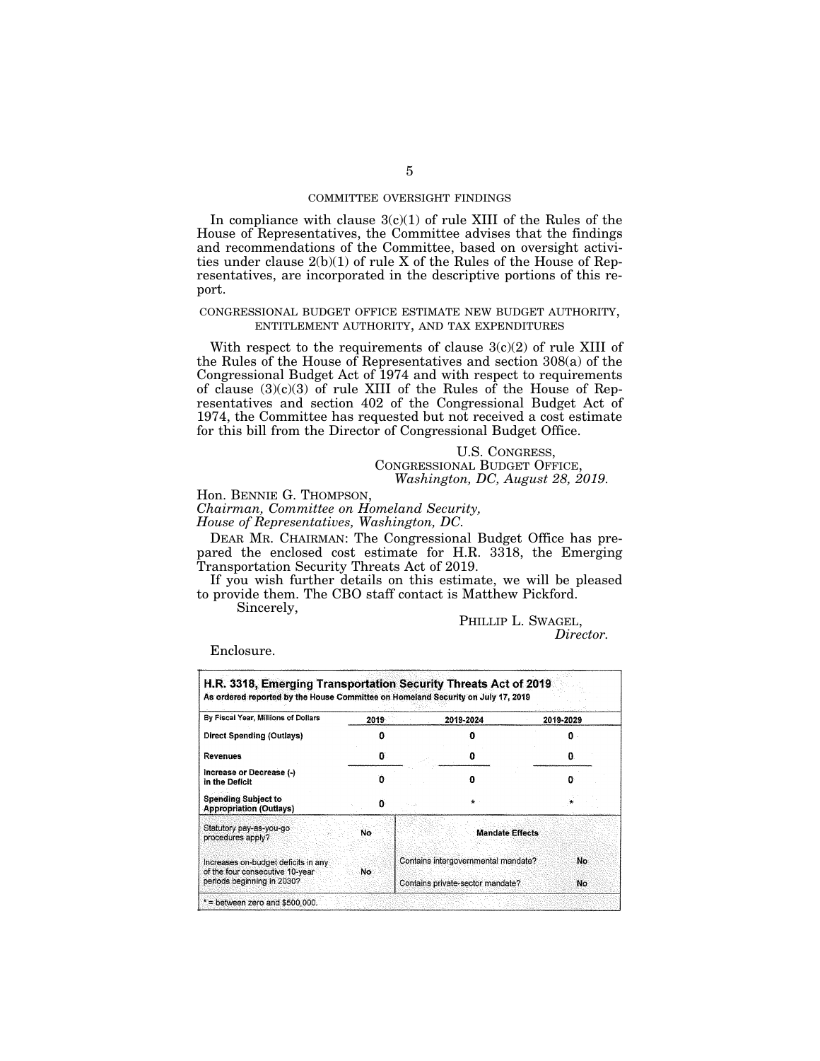### COMMITTEE OVERSIGHT FINDINGS

In compliance with clause  $3(c)(1)$  of rule XIII of the Rules of the House of Representatives, the Committee advises that the findings and recommendations of the Committee, based on oversight activities under clause 2(b)(1) of rule X of the Rules of the House of Representatives, are incorporated in the descriptive portions of this report.

### CONGRESSIONAL BUDGET OFFICE ESTIMATE NEW BUDGET AUTHORITY, ENTITLEMENT AUTHORITY, AND TAX EXPENDITURES

With respect to the requirements of clause  $3(c)(2)$  of rule XIII of the Rules of the House of Representatives and section 308(a) of the Congressional Budget Act of 1974 and with respect to requirements of clause  $(3)(c)(3)$  of rule XIII of the Rules of the House of Representatives and section 402 of the Congressional Budget Act of 1974, the Committee has requested but not received a cost estimate for this bill from the Director of Congressional Budget Office.

> U.S. CONGRESS, CONGRESSIONAL BUDGET OFFICE, *Washington, DC, August 28, 2019.*

Hon. BENNIE G. THOMPSON,

*Chairman, Committee on Homeland Security, House of Representatives, Washington, DC.* 

DEAR MR. CHAIRMAN: The Congressional Budget Office has prepared the enclosed cost estimate for H.R. 3318, the Emerging Transportation Security Threats Act of 2019.

If you wish further details on this estimate, we will be pleased to provide them. The CBO staff contact is Matthew Pickford.

Sincerely,

PHILLIP L. SWAGEL, *Director.* 

Enclosure.

| By Fiscal Year, Millions of Dollars                                           | 2019 |                                     | 2019-2024              | 2019-2029 |
|-------------------------------------------------------------------------------|------|-------------------------------------|------------------------|-----------|
| Direct Spending (Outlays)                                                     |      |                                     |                        | n         |
| <b>Revenues</b>                                                               | O.   |                                     |                        | o         |
| Increase or Decrease (-)<br>in the Deficit                                    | n    |                                     |                        |           |
| <b>Spending Subject to</b><br><b>Appropriation (Outlays)</b>                  | 0    |                                     | $\star$                |           |
| Statutory pay-as-you-go<br>procedures apply?                                  | Νo.  |                                     | <b>Mandate Effects</b> |           |
| Increases on-budget deficits in any<br>of the four consecutive 10-year<br>No. |      | Contains intergovernmental mandate? |                        | No.       |
| periods beginning in 2030?                                                    |      | Contains private-sector mandate?    |                        | No.       |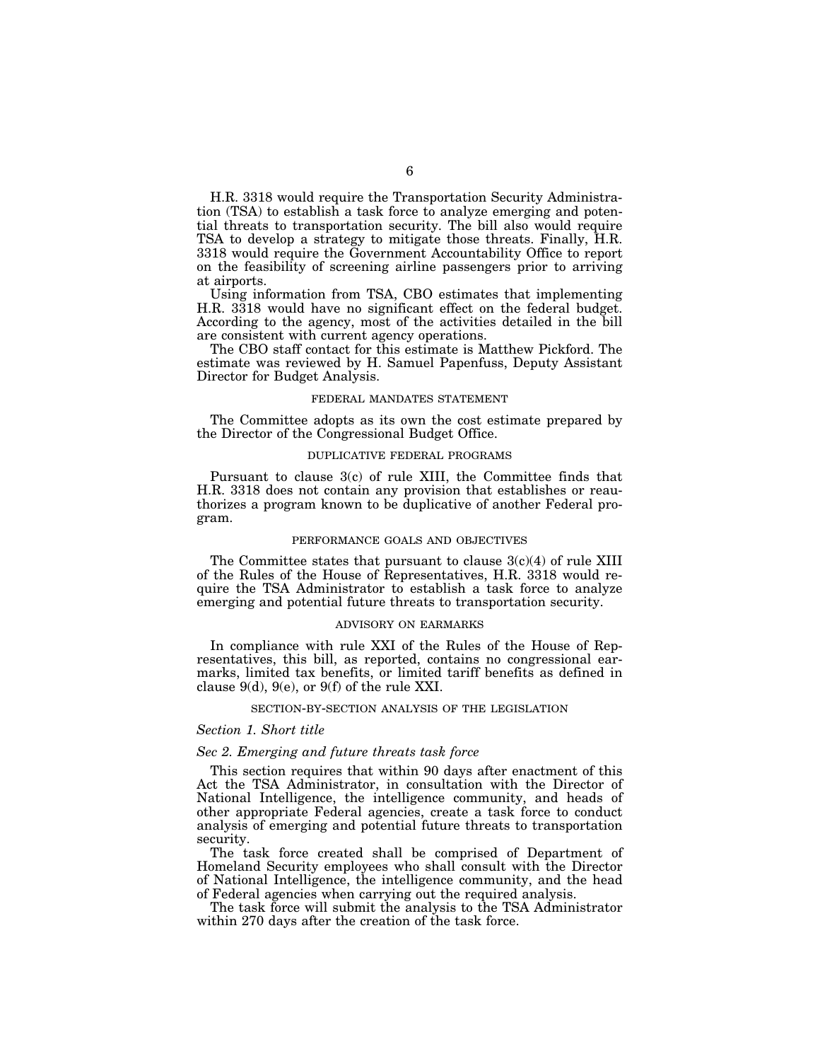H.R. 3318 would require the Transportation Security Administration (TSA) to establish a task force to analyze emerging and potential threats to transportation security. The bill also would require TSA to develop a strategy to mitigate those threats. Finally, H.R. 3318 would require the Government Accountability Office to report on the feasibility of screening airline passengers prior to arriving at airports.

Using information from TSA, CBO estimates that implementing H.R. 3318 would have no significant effect on the federal budget. According to the agency, most of the activities detailed in the bill are consistent with current agency operations.

The CBO staff contact for this estimate is Matthew Pickford. The estimate was reviewed by H. Samuel Papenfuss, Deputy Assistant Director for Budget Analysis.

#### FEDERAL MANDATES STATEMENT

The Committee adopts as its own the cost estimate prepared by the Director of the Congressional Budget Office.

### DUPLICATIVE FEDERAL PROGRAMS

Pursuant to clause 3(c) of rule XIII, the Committee finds that H.R. 3318 does not contain any provision that establishes or reauthorizes a program known to be duplicative of another Federal program.

#### PERFORMANCE GOALS AND OBJECTIVES

The Committee states that pursuant to clause  $3(c)(4)$  of rule XIII of the Rules of the House of Representatives, H.R. 3318 would require the TSA Administrator to establish a task force to analyze emerging and potential future threats to transportation security.

#### ADVISORY ON EARMARKS

In compliance with rule XXI of the Rules of the House of Representatives, this bill, as reported, contains no congressional earmarks, limited tax benefits, or limited tariff benefits as defined in clause  $9(d)$ ,  $9(e)$ , or  $9(f)$  of the rule XXI.

### SECTION-BY-SECTION ANALYSIS OF THE LEGISLATION

#### *Section 1. Short title*

#### *Sec 2. Emerging and future threats task force*

This section requires that within 90 days after enactment of this Act the TSA Administrator, in consultation with the Director of National Intelligence, the intelligence community, and heads of other appropriate Federal agencies, create a task force to conduct analysis of emerging and potential future threats to transportation security.

The task force created shall be comprised of Department of Homeland Security employees who shall consult with the Director of National Intelligence, the intelligence community, and the head of Federal agencies when carrying out the required analysis.

The task force will submit the analysis to the TSA Administrator within 270 days after the creation of the task force.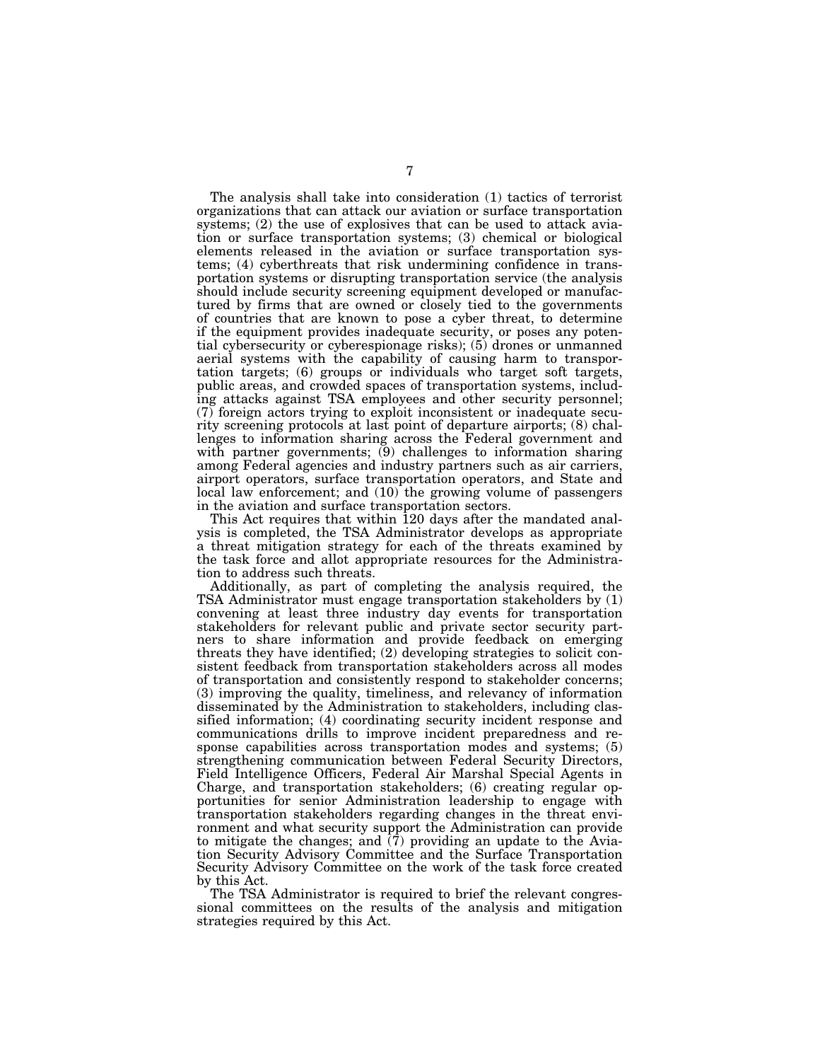The analysis shall take into consideration (1) tactics of terrorist organizations that can attack our aviation or surface transportation systems; (2) the use of explosives that can be used to attack aviation or surface transportation systems; (3) chemical or biological elements released in the aviation or surface transportation systems; (4) cyberthreats that risk undermining confidence in transportation systems or disrupting transportation service (the analysis should include security screening equipment developed or manufactured by firms that are owned or closely tied to the governments of countries that are known to pose a cyber threat, to determine if the equipment provides inadequate security, or poses any potential cybersecurity or cyberespionage risks); (5) drones or unmanned aerial systems with the capability of causing harm to transportation targets; (6) groups or individuals who target soft targets, public areas, and crowded spaces of transportation systems, including attacks against TSA employees and other security personnel; (7) foreign actors trying to exploit inconsistent or inadequate security screening protocols at last point of departure airports; (8) challenges to information sharing across the Federal government and with partner governments; (9) challenges to information sharing among Federal agencies and industry partners such as air carriers, airport operators, surface transportation operators, and State and local law enforcement; and  $(10)$  the growing volume of passengers in the aviation and surface transportation sectors.

This Act requires that within 120 days after the mandated analysis is completed, the TSA Administrator develops as appropriate a threat mitigation strategy for each of the threats examined by the task force and allot appropriate resources for the Administration to address such threats.

Additionally, as part of completing the analysis required, the TSA Administrator must engage transportation stakeholders by (1) convening at least three industry day events for transportation stakeholders for relevant public and private sector security partners to share information and provide feedback on emerging threats they have identified; (2) developing strategies to solicit consistent feedback from transportation stakeholders across all modes of transportation and consistently respond to stakeholder concerns; (3) improving the quality, timeliness, and relevancy of information disseminated by the Administration to stakeholders, including classified information; (4) coordinating security incident response and communications drills to improve incident preparedness and response capabilities across transportation modes and systems; (5) strengthening communication between Federal Security Directors, Field Intelligence Officers, Federal Air Marshal Special Agents in Charge, and transportation stakeholders; (6) creating regular opportunities for senior Administration leadership to engage with transportation stakeholders regarding changes in the threat environment and what security support the Administration can provide to mitigate the changes; and  $(7)$  providing an update to the Aviation Security Advisory Committee and the Surface Transportation Security Advisory Committee on the work of the task force created by this Act.

The TSA Administrator is required to brief the relevant congressional committees on the results of the analysis and mitigation strategies required by this Act.